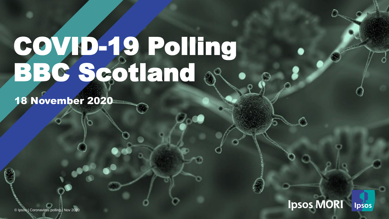# COVID-19 Polling BBC Scotland

18 November 2020



© Ipsos | Coronavirus polling | March 2020 © Ipsos | Coronavirus polling | Nov 2020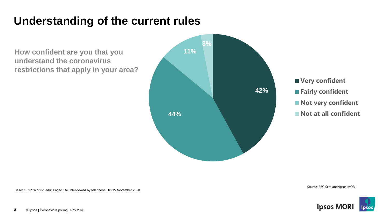#### **Understanding of the current rules**

**How confident are you that you understand the coronavirus restrictions that apply in your area?**



**Very confident Fairly confident Not very confident** ■ Not at all confident

Base: 1,037 Scottish adults aged 16+ interviewed by telephone, 10-15 November 2020

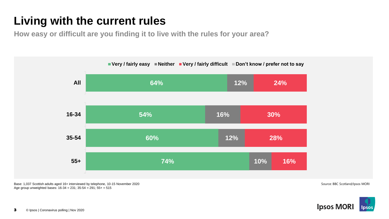## **Living with the current rules**

**How easy or difficult are you finding it to live with the rules for your area?** 



Base: 1,037 Scottish adults aged 16+ interviewed by telephone, 10-15 November 2020 Age group unweighted bases:  $16-34 = 231$ ;  $35-54 = 291$ ;  $55+ = 515$ 

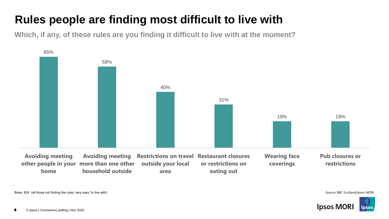### **Rules people are finding most difficult to live with**

**Which, if any, of these rules are you finding it difficult to live with at the moment?** 



Base: 824 (all those not finding the rules 'very easy' to live with) Source: BBC Scotland/Ipsos MORI

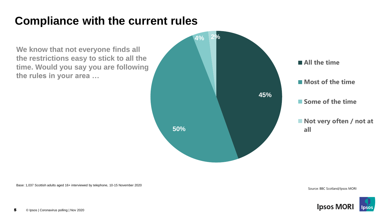#### **Compliance with the current rules**

**We know that not everyone finds all the restrictions easy to stick to all the time. Would you say you are following the rules in your area …** 



Base: 1,037 Scottish adults aged 16+ interviewed by telephone, 10-15 November 2020

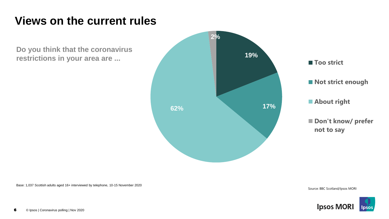#### **Views on the current rules**

**Do you think that the coronavirus restrictions in your area are ...** 



Base: 1,037 Scottish adults aged 16+ interviewed by telephone, 10-15 November 2020

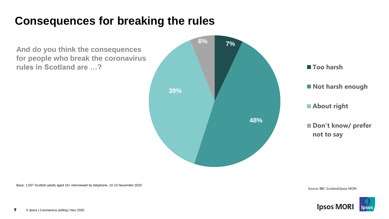#### **Consequences for breaking the rules**

**And do you think the consequences for people who break the coronavirus rules in Scotland are …?**



Base: 1,037 Scottish adults aged 16+ interviewed by telephone, 10-15 November 2020

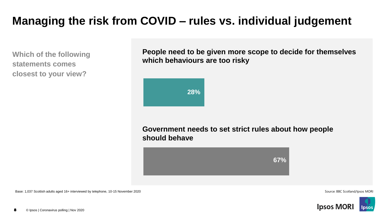#### **Managing the risk from COVID – rules vs. individual judgement**

**Which of the following statements comes closest to your view?** 

**People need to be given more scope to decide for themselves which behaviours are too risky**



**Government needs to set strict rules about how people should behave**



Base: 1,037 Scottish adults aged 16+ interviewed by telephone, 10-15 November 2020 Source: BBC Scotland/Ipsos MORI

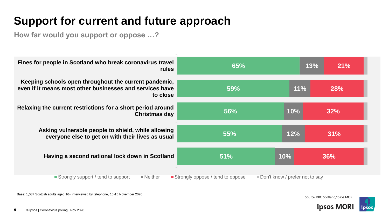### **Support for current and future approach**

**How far would you support or oppose …?**

| Fines for people in Scotland who break coronavirus travel<br><b>rules</b>                                                          | 65%        | 13% | 21%        |
|------------------------------------------------------------------------------------------------------------------------------------|------------|-----|------------|
| Keeping schools open throughout the current pandemic,<br>even if it means most other businesses and services have<br>to close      | 59%        | 11% | <b>28%</b> |
| Relaxing the current restrictions for a short period around<br><b>Christmas day</b>                                                | <b>56%</b> | 10% | 32%        |
| Asking vulnerable people to shield, while allowing<br>everyone else to get on with their lives as usual                            | 55%        | 12% | 31%        |
| Having a second national lock down in Scotland                                                                                     | 10%<br>51% |     | 36%        |
| Strongly support / tend to support<br>Strongly oppose / tend to oppose<br>Don't know / prefer not to say<br>$\blacksquare$ Neither |            |     |            |

Base: 1,037 Scottish adults aged 16+ interviewed by telephone, 10-15 November 2020



**Ipsos MORI** 

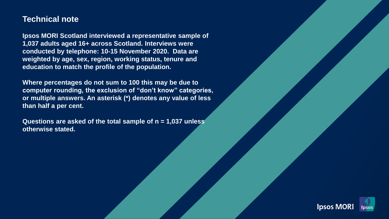#### **Technical note**

**Ipsos MORI Scotland interviewed a representative sample of 1,037 adults aged 16+ across Scotland. Interviews were conducted by telephone: 10-15 November 2020. Data are weighted by age, sex, region, working status, tenure and education to match the profile of the population.**

**Where percentages do not sum to 100 this may be due to computer rounding, the exclusion of "don't know" categories, or multiple answers. An asterisk (\*) denotes any value of less than half a per cent.** 

**Questions are asked of the total sample of n = 1,037 unless otherwise stated.**